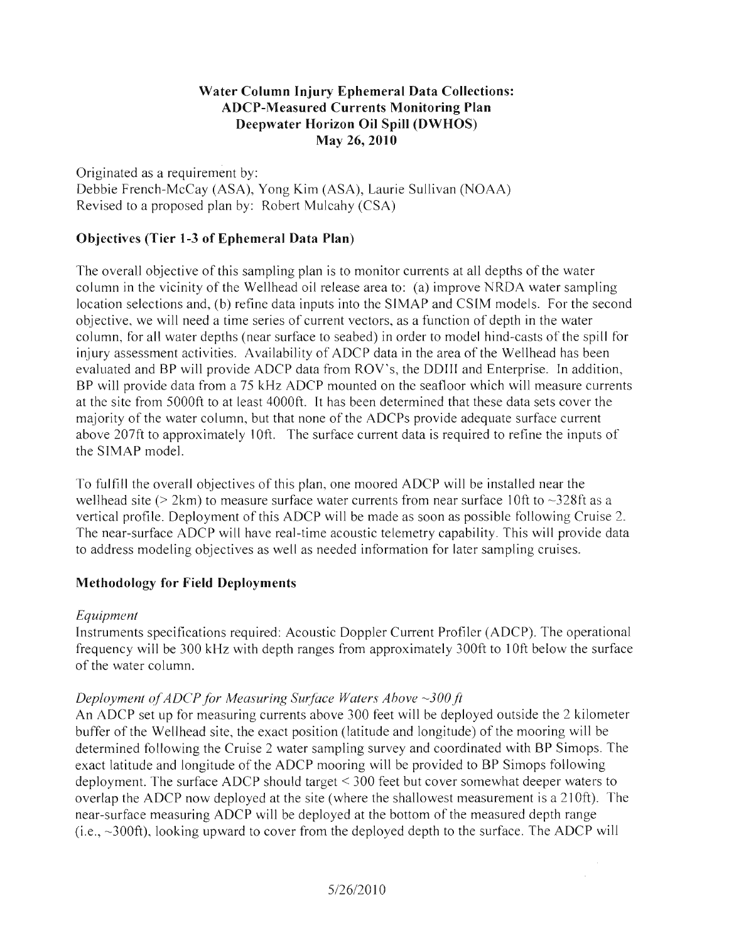### **Water Column Injury Ephemeral Data Collections: ADCP-Measured Currents Monitoring Plan Deepwater Horizon Oil Spill (DWHOS)**  May 26, **2010**

Originated as a requirement by: Debbie French-McCay (ASA), Yong Kim (ASA), Laurie Sullivan (NOAA) Revised to a proposed plan by: Robert Mulcahy (CSA)

# **Objectives (Tier 1-3 of Ephemeral Data Plan)**

The overall objective of this sampling plan is to monitor currents at all depths of the water column in the vicinity of the Wellhead oil release area to: (a) improve NRDA water sampling location selections and, (b) refine data inputs into the SIMAP and CSIM models. For the second objective, we will need a time series of current vectors, as a function of depth in the water column, for all water depths (near surface to seabed) in order to model hind-casts of the spill for injury assessment activities. Availability of ADCP data in the area of the Wellhead has been evaluated and BP will provide ADCP data from ROY's, the DDIII and Enterprise. In addition, BP will provide data from a 75 kHz ADCP mounted on the seafloor which will measure currents at the site from 5000ft to at least 4000ft. It has been determined that these data sets cover the majority of the water column, but that none of the ADCPs provide adequate surface current above 207ft to approximately 10ft. The surface current data is required to refine the inputs of the SIMAP model.

To fulfill the overall objectives of this plan, one moored ADCP will be installed near the wellhead site ( $> 2$ km) to measure surface water currents from near surface 10ft to  $\sim$ 328ft as a vertical profile. Deployment of this ADCP will be made as soon as possible following Cruise 2. The near-surface ADCP will have real-time acoustic telemetry capability. This will provide data to address modeling objectives as well as needed information for later sampling cruises.

# **Methodology for Field Deployments**

# *Equipment*

Instruments specifications required: Acoustic Doppler Current Profiler (ADCP). The operational frequency will be 300 kHz with depth ranges from approximately 300ft to 10ft below the surface of the water column.

# *Deployment of ADCP for Measuring Surface Waters Above* ~300 ft

An ADCP set up for measuring currents above 300 feet will be deployed outside the 2 kilometer buffer of the Wellhead site, the exact position (latitude and longitude) of the mooring will be determined following the Cruise 2 water sampling survey and coordinated with BP Simops. The exact latitude and longitude of the ADCP mooring will be provided to BP Simops following deployment. The surface ADCP should target < 300 feet but cover somewhat deeper waters to overlap the ADCP now deployed at the site (where the shallowest measurement is a 210ft). The near-surface measuring ADCP will be deployed at the bottom of the measured depth range (i.e.,  $\sim$ 300ft), looking upward to cover from the deployed depth to the surface. The ADCP will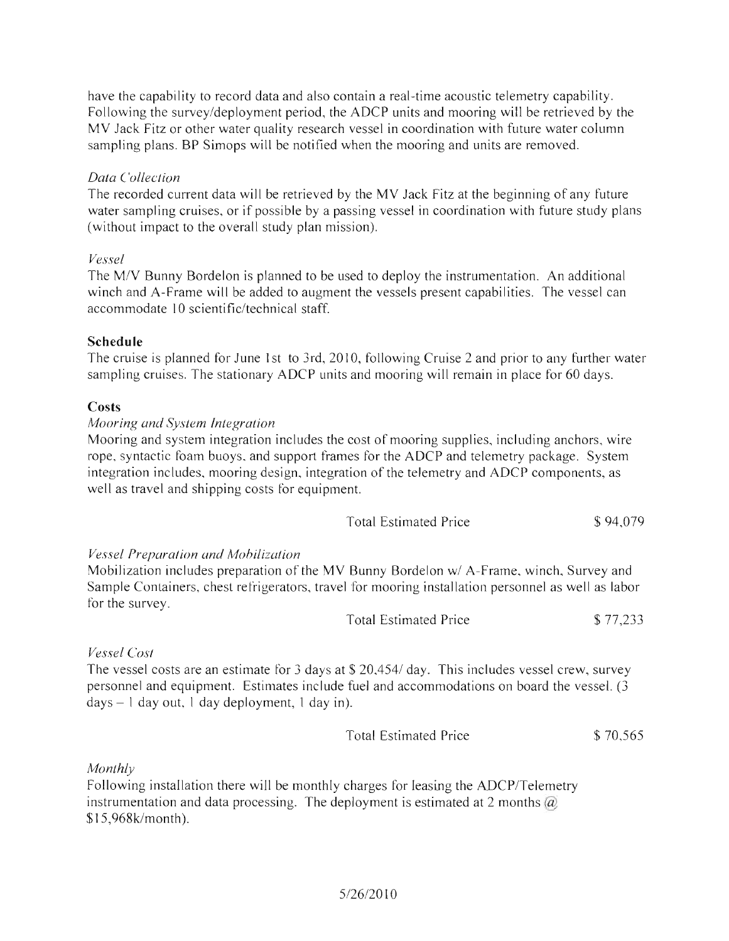have the capability to record data and also contain a real-time acoustic telemetry capability. Following the survey/deployment period, the ADCP units and mooring will be retrieved by the MY Jack Fitz or other water quality research vessel in coordination with future water column sampling plans. BP Simops will be notified when the mooring and units are removed.

### *Data Collection*

The recorded current data will be retrieved by the MY Jack Fitz at the beginning of any future water sampling cruises, or if possible by a passing vessel in coordination with future study plans (without impact to the overall study plan mission).

### *Vessel*

The M/Y Bunny Bordelon is planned to be used to deploy the instrumentation. An additional winch and A-Frame will be added to augment the vessels present capabilities. The vessel can accommodate 10 scientific/technical staff.

### **Schedule**

The cruise is planned for June 1st to 3rd, 2010, following Cruise 2 and prior to any further water sampling cruises. The stationary ADCP units and mooring will remain in place for 60 days.

### **Costs**

#### *Mooring and System Integration*

Mooring and system integration includes the cost of mooring supplies, including anchors, wire rope, syntactic foam buoys, and support frames for the ADCP and telemetry package. System integration includes, mooring design, integration of the telemetry and ADCP components, as well as travel and shipping costs for equipment.

| Total Estimated Price | \$94,079 |
|-----------------------|----------|
|-----------------------|----------|

### *Vessel Preparation and Mobilization*

Mobilization includes preparation of the MV Bunny Bordelon w/ A-Frame, winch, Survey and Sample Containers, chest refrigerators, travel for mooring installation personnel as well as labor for the survey.

| <b>Total Estimated Price</b> | \$77,233 |
|------------------------------|----------|
|------------------------------|----------|

### *Vessel Cost*

The vessel costs are an estimate for 3 days at \$ 20,454/ day. This includes vessel crew, survey personnel and equipment. Estimates include fuel and accommodations on board the vessel. (3 days - 1 day out, 1 day deployment, 1 day in).

*Monthly* 

Following installation there will be monthly charges for leasing the ADCP/Telemetry instrumentation and data processing. The deployment is estimated at 2 months  $\omega$ \$15,968k/month).